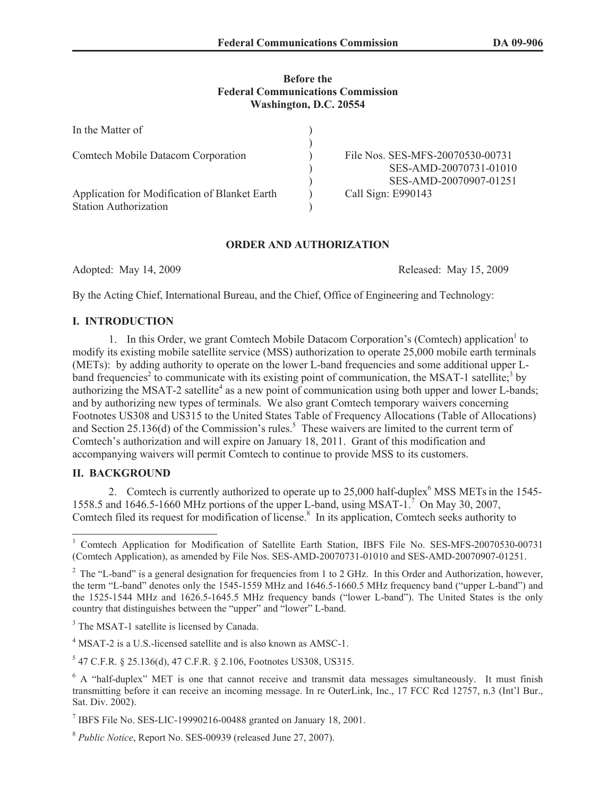## **Before the Federal Communications Commission Washington, D.C. 20554**

| In the Matter of                                                              |                                                            |
|-------------------------------------------------------------------------------|------------------------------------------------------------|
| <b>Comtech Mobile Datacom Corporation</b>                                     | File Nos. SES-MFS-20070530-00731<br>SES-AMD-20070731-01010 |
| Application for Modification of Blanket Earth<br><b>Station Authorization</b> | SES-AMD-20070907-01251<br>Call Sign: E990143               |

## **ORDER AND AUTHORIZATION**

Adopted: May 14, 2009 Released: May 15, 2009

By the Acting Chief, International Bureau, and the Chief, Office of Engineering and Technology:

# **I. INTRODUCTION**

1. In this Order, we grant Comtech Mobile Datacom Corporation's (Comtech) application<sup>1</sup> to modify its existing mobile satellite service (MSS) authorization to operate 25,000 mobile earth terminals (METs): by adding authority to operate on the lower L-band frequencies and some additional upper Lband frequencies<sup>2</sup> to communicate with its existing point of communication, the MSAT-1 satellite;<sup>3</sup> by authorizing the MSAT-2 satellite<sup>4</sup> as a new point of communication using both upper and lower L-bands; and by authorizing new types of terminals. We also grant Comtech temporary waivers concerning Footnotes US308 and US315 to the United States Table of Frequency Allocations (Table of Allocations) and Section 25.136(d) of the Commission's rules.<sup>5</sup> These waivers are limited to the current term of Comtech's authorization and will expire on January 18, 2011. Grant of this modification and accompanying waivers will permit Comtech to continue to provide MSS to its customers.

## **II. BACKGROUND**

2. Comtech is currently authorized to operate up to  $25,000$  half-duplex<sup>6</sup> MSS METs in the 1545-1558.5 and 1646.5-1660 MHz portions of the upper L-band, using MSAT-1.<sup>7</sup> On May 30, 2007, Comtech filed its request for modification of license.<sup>8</sup> In its application, Comtech seeks authority to

<sup>3</sup> The MSAT-1 satellite is licensed by Canada.

<sup>4</sup> MSAT-2 is a U.S.-licensed satellite and is also known as AMSC-1.

 $5$  47 C.F.R. § 25.136(d), 47 C.F.R. § 2.106, Footnotes US308, US315.

<sup>&</sup>lt;sup>1</sup> Comtech Application for Modification of Satellite Earth Station, IBFS File No. SES-MFS-20070530-00731 (Comtech Application), as amended by File Nos. SES-AMD-20070731-01010 and SES-AMD-20070907-01251.

 $2$  The "L-band" is a general designation for frequencies from 1 to 2 GHz. In this Order and Authorization, however, the term "L-band" denotes only the 1545-1559 MHz and 1646.5-1660.5 MHz frequency band ("upper L-band") and the 1525-1544 MHz and 1626.5-1645.5 MHz frequency bands ("lower L-band"). The United States is the only country that distinguishes between the "upper" and "lower" L-band.

<sup>&</sup>lt;sup>6</sup> A "half-duplex" MET is one that cannot receive and transmit data messages simultaneously. It must finish transmitting before it can receive an incoming message. In re OuterLink, Inc., 17 FCC Rcd 12757, n.3 (Int'l Bur., Sat. Div. 2002).

<sup>7</sup> IBFS File No. SES-LIC-19990216-00488 granted on January 18, 2001.

<sup>8</sup> *Public Notice*, Report No. SES-00939 (released June 27, 2007).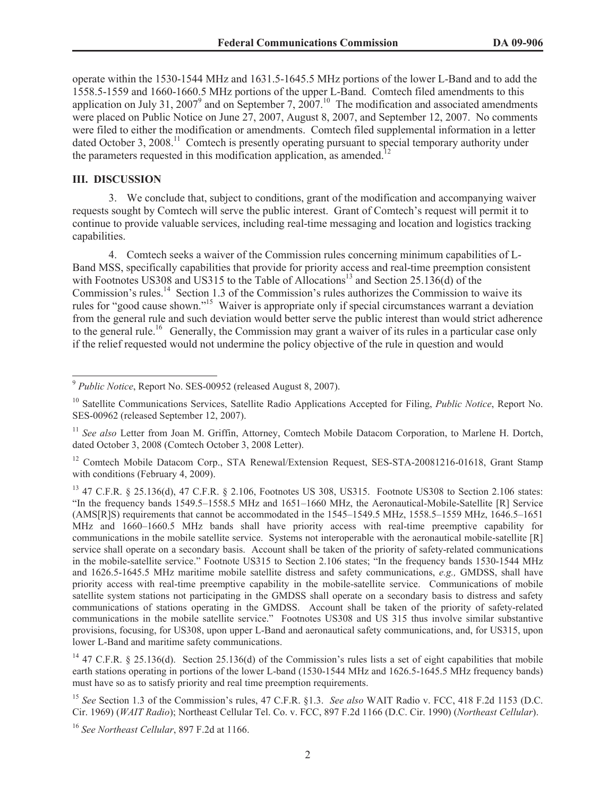operate within the 1530-1544 MHz and 1631.5-1645.5 MHz portions of the lower L-Band and to add the 1558.5-1559 and 1660-1660.5 MHz portions of the upper L-Band. Comtech filed amendments to this application on July 31, 2007<sup>9</sup> and on September 7, 2007.<sup>10</sup> The modification and associated amendments were placed on Public Notice on June 27, 2007, August 8, 2007, and September 12, 2007. No comments were filed to either the modification or amendments. Comtech filed supplemental information in a letter dated October 3, 2008.<sup>11</sup> Comtech is presently operating pursuant to special temporary authority under the parameters requested in this modification application, as amended.<sup>1</sup>

#### **III. DISCUSSION**

3. We conclude that, subject to conditions, grant of the modification and accompanying waiver requests sought by Comtech will serve the public interest. Grant of Comtech's request will permit it to continue to provide valuable services, including real-time messaging and location and logistics tracking capabilities.

4. Comtech seeks a waiver of the Commission rules concerning minimum capabilities of L-Band MSS, specifically capabilities that provide for priority access and real-time preemption consistent with Footnotes US308 and US315 to the Table of Allocations<sup>13</sup> and Section 25.136(d) of the Commission's rules.<sup>14</sup> Section 1.3 of the Commission's rules authorizes the Commission to waive its rules for "good cause shown."<sup>15</sup> Waiver is appropriate only if special circumstances warrant a deviation from the general rule and such deviation would better serve the public interest than would strict adherence to the general rule.<sup>16</sup> Generally, the Commission may grant a waiver of its rules in a particular case only if the relief requested would not undermine the policy objective of the rule in question and would

<sup>9</sup> *Public Notice*, Report No. SES-00952 (released August 8, 2007).

<sup>&</sup>lt;sup>10</sup> Satellite Communications Services, Satellite Radio Applications Accepted for Filing, *Public Notice*, Report No. SES-00962 (released September 12, 2007).

<sup>&</sup>lt;sup>11</sup> See also Letter from Joan M. Griffin, Attorney, Comtech Mobile Datacom Corporation, to Marlene H. Dortch, dated October 3, 2008 (Comtech October 3, 2008 Letter).

<sup>&</sup>lt;sup>12</sup> Comtech Mobile Datacom Corp., STA Renewal/Extension Request, SES-STA-20081216-01618, Grant Stamp with conditions (February 4, 2009).

<sup>13</sup> 47 C.F.R. § 25.136(d), 47 C.F.R. § 2.106, Footnotes US 308, US315. Footnote US308 to Section 2.106 states: "In the frequency bands 1549.5–1558.5 MHz and 1651–1660 MHz, the Aeronautical-Mobile-Satellite [R] Service (AMS[R]S) requirements that cannot be accommodated in the 1545–1549.5 MHz, 1558.5–1559 MHz, 1646.5–1651 MHz and 1660–1660.5 MHz bands shall have priority access with real-time preemptive capability for communications in the mobile satellite service. Systems not interoperable with the aeronautical mobile-satellite [R] service shall operate on a secondary basis. Account shall be taken of the priority of safety-related communications in the mobile-satellite service." Footnote US315 to Section 2.106 states; "In the frequency bands 1530-1544 MHz and 1626.5-1645.5 MHz maritime mobile satellite distress and safety communications, *e.g.,* GMDSS, shall have priority access with real-time preemptive capability in the mobile-satellite service. Communications of mobile satellite system stations not participating in the GMDSS shall operate on a secondary basis to distress and safety communications of stations operating in the GMDSS. Account shall be taken of the priority of safety-related communications in the mobile satellite service." Footnotes US308 and US 315 thus involve similar substantive provisions, focusing, for US308, upon upper L-Band and aeronautical safety communications, and, for US315, upon lower L-Band and maritime safety communications.

<sup>&</sup>lt;sup>14</sup> 47 C.F.R. § 25.136(d). Section 25.136(d) of the Commission's rules lists a set of eight capabilities that mobile earth stations operating in portions of the lower L-band (1530-1544 MHz and 1626.5-1645.5 MHz frequency bands) must have so as to satisfy priority and real time preemption requirements.

<sup>15</sup> *See* Section 1.3 of the Commission's rules, 47 C.F.R. §1.3. *See also* WAIT Radio v. FCC, 418 F.2d 1153 (D.C. Cir. 1969) (*WAIT Radio*); Northeast Cellular Tel. Co. v. FCC, 897 F.2d 1166 (D.C. Cir. 1990) (*Northeast Cellular*).

<sup>16</sup> *See Northeast Cellular*, 897 F.2d at 1166.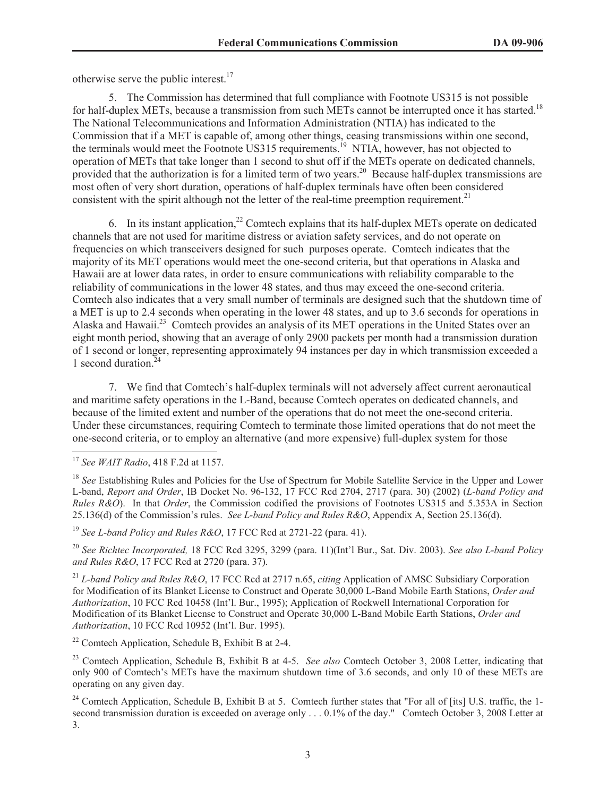otherwise serve the public interest.<sup>17</sup>

5. The Commission has determined that full compliance with Footnote US315 is not possible for half-duplex METs, because a transmission from such METs cannot be interrupted once it has started.<sup>18</sup> The National Telecommunications and Information Administration (NTIA) has indicated to the Commission that if a MET is capable of, among other things, ceasing transmissions within one second, the terminals would meet the Footnote US315 requirements.<sup>19</sup> NTIA, however, has not objected to operation of METs that take longer than 1 second to shut off if the METs operate on dedicated channels, provided that the authorization is for a limited term of two years.<sup>20</sup> Because half-duplex transmissions are most often of very short duration, operations of half-duplex terminals have often been considered consistent with the spirit although not the letter of the real-time preemption requirement.<sup>21</sup>

6. In its instant application, $22$  Comtech explains that its half-duplex METs operate on dedicated channels that are not used for maritime distress or aviation safety services, and do not operate on frequencies on which transceivers designed for such purposes operate. Comtech indicates that the majority of its MET operations would meet the one-second criteria, but that operations in Alaska and Hawaii are at lower data rates, in order to ensure communications with reliability comparable to the reliability of communications in the lower 48 states, and thus may exceed the one-second criteria. Comtech also indicates that a very small number of terminals are designed such that the shutdown time of a MET is up to 2.4 seconds when operating in the lower 48 states, and up to 3.6 seconds for operations in Alaska and Hawaii.<sup>23</sup> Comtech provides an analysis of its MET operations in the United States over an eight month period, showing that an average of only 2900 packets per month had a transmission duration of 1 second or longer, representing approximately 94 instances per day in which transmission exceeded a 1 second duration. $24$ 

7. We find that Comtech's half-duplex terminals will not adversely affect current aeronautical and maritime safety operations in the L-Band, because Comtech operates on dedicated channels, and because of the limited extent and number of the operations that do not meet the one-second criteria. Under these circumstances, requiring Comtech to terminate those limited operations that do not meet the one-second criteria, or to employ an alternative (and more expensive) full-duplex system for those

<sup>19</sup> *See L-band Policy and Rules R&O*, 17 FCC Rcd at 2721-22 (para. 41).

<sup>20</sup> *See Richtec Incorporated,* 18 FCC Rcd 3295, 3299 (para. 11)(Int'l Bur., Sat. Div. 2003). *See also L-band Policy and Rules R&O*, 17 FCC Rcd at 2720 (para. 37).

<sup>21</sup> *L-band Policy and Rules R&O*, 17 FCC Rcd at 2717 n.65, *citing* Application of AMSC Subsidiary Corporation for Modification of its Blanket License to Construct and Operate 30,000 L-Band Mobile Earth Stations, *Order and Authorization*, 10 FCC Rcd 10458 (Int'l. Bur., 1995); Application of Rockwell International Corporation for Modification of its Blanket License to Construct and Operate 30,000 L-Band Mobile Earth Stations, *Order and Authorization*, 10 FCC Rcd 10952 (Int'l. Bur. 1995).

<sup>22</sup> Comtech Application, Schedule B, Exhibit B at 2-4.

<sup>23</sup> Comtech Application, Schedule B, Exhibit B at 4-5. *See also* Comtech October 3, 2008 Letter, indicating that only 900 of Comtech's METs have the maximum shutdown time of 3.6 seconds, and only 10 of these METs are operating on any given day.

<sup>24</sup> Comtech Application, Schedule B, Exhibit B at 5. Comtech further states that "For all of [its] U.S. traffic, the 1second transmission duration is exceeded on average only . . . 0.1% of the day." Comtech October 3, 2008 Letter at 3.

<sup>17</sup> *See WAIT Radio*, 418 F.2d at 1157.

<sup>&</sup>lt;sup>18</sup> See Establishing Rules and Policies for the Use of Spectrum for Mobile Satellite Service in the Upper and Lower L-band, *Report and Order*, IB Docket No. 96-132, 17 FCC Rcd 2704, 2717 (para. 30) (2002) (*L-band Policy and Rules R&O*). In that *Order*, the Commission codified the provisions of Footnotes US315 and 5.353A in Section 25.136(d) of the Commission's rules. *See L-band Policy and Rules R&O*, Appendix A, Section 25.136(d).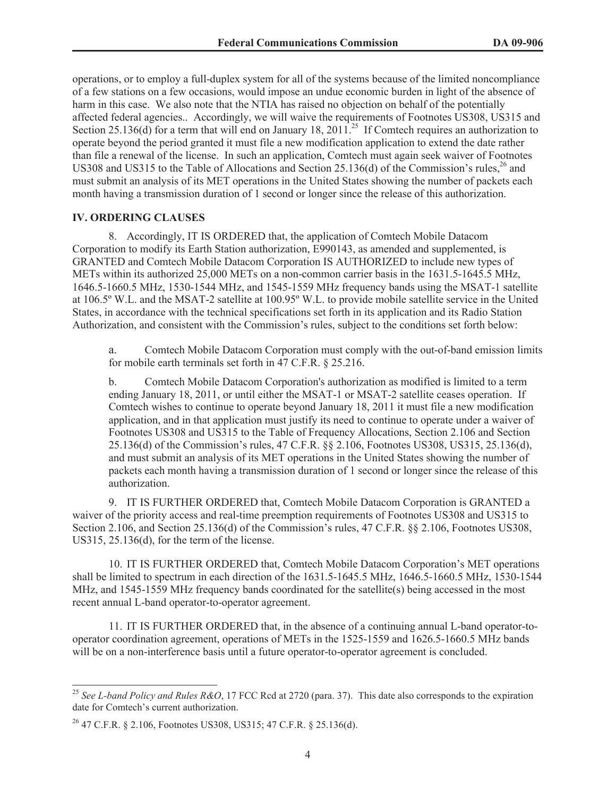operations, or to employ a full-duplex system for all of the systems because of the limited noncompliance of a few stations on a few occasions, would impose an undue economic burden in light of the absence of harm in this case. We also note that the NTIA has raised no objection on behalf of the potentially affected federal agencies.. Accordingly, we will waive the requirements of Footnotes US308, US315 and Section 25.136(d) for a term that will end on January 18, 2011.<sup>25</sup> If Comtech requires an authorization to operate beyond the period granted it must file a new modification application to extend the date rather than file a renewal of the license. In such an application, Comtech must again seek waiver of Footnotes US308 and US315 to the Table of Allocations and Section 25.136(d) of the Commission's rules,  $^{26}$  and must submit an analysis of its MET operations in the United States showing the number of packets each month having a transmission duration of 1 second or longer since the release of this authorization.

#### **IV. ORDERING CLAUSES**

8. Accordingly, IT IS ORDERED that, the application of Comtech Mobile Datacom Corporation to modify its Earth Station authorization, E990143, as amended and supplemented, is GRANTED and Comtech Mobile Datacom Corporation IS AUTHORIZED to include new types of METs within its authorized 25,000 METs on a non-common carrier basis in the 1631.5-1645.5 MHz, 1646.5-1660.5 MHz, 1530-1544 MHz, and 1545-1559 MHz frequency bands using the MSAT-1 satellite at 106.5º W.L. and the MSAT-2 satellite at 100.95º W.L. to provide mobile satellite service in the United States, in accordance with the technical specifications set forth in its application and its Radio Station Authorization, and consistent with the Commission's rules, subject to the conditions set forth below:

a. Comtech Mobile Datacom Corporation must comply with the out-of-band emission limits for mobile earth terminals set forth in 47 C.F.R. § 25.216.

b. Comtech Mobile Datacom Corporation's authorization as modified is limited to a term ending January 18, 2011, or until either the MSAT-1 or MSAT-2 satellite ceases operation. If Comtech wishes to continue to operate beyond January 18, 2011 it must file a new modification application, and in that application must justify its need to continue to operate under a waiver of Footnotes US308 and US315 to the Table of Frequency Allocations, Section 2.106 and Section 25.136(d) of the Commission's rules, 47 C.F.R. §§ 2.106, Footnotes US308, US315, 25.136(d), and must submit an analysis of its MET operations in the United States showing the number of packets each month having a transmission duration of 1 second or longer since the release of this authorization.

9. IT IS FURTHER ORDERED that, Comtech Mobile Datacom Corporation is GRANTED a waiver of the priority access and real-time preemption requirements of Footnotes US308 and US315 to Section 2.106, and Section 25.136(d) of the Commission's rules, 47 C.F.R. §§ 2.106, Footnotes US308, US315, 25.136(d), for the term of the license.

10. IT IS FURTHER ORDERED that, Comtech Mobile Datacom Corporation's MET operations shall be limited to spectrum in each direction of the 1631.5-1645.5 MHz, 1646.5-1660.5 MHz, 1530-1544 MHz, and 1545-1559 MHz frequency bands coordinated for the satellite(s) being accessed in the most recent annual L-band operator-to-operator agreement.

11. IT IS FURTHER ORDERED that, in the absence of a continuing annual L-band operator-tooperator coordination agreement, operations of METs in the 1525-1559 and 1626.5-1660.5 MHz bands will be on a non-interference basis until a future operator-to-operator agreement is concluded.

<sup>25</sup> *See L-band Policy and Rules R&O*, 17 FCC Rcd at 2720 (para. 37). This date also corresponds to the expiration date for Comtech's current authorization.

<sup>26</sup> 47 C.F.R. § 2.106, Footnotes US308, US315; 47 C.F.R. § 25.136(d).